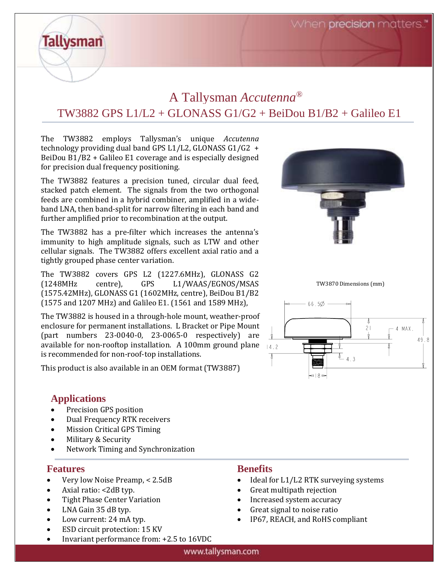When **precision** matters.

# A Tallysman *Accutenna®* TW3882 GPS L1/L2 + GLONASS G1/G2 + BeiDou B1/B2 + Galileo E1

The TW3882 employs Tallysman's unique *Accutenna* technology providing dual band GPS L1/L2, GLONASS G1/G2 + BeiDou B1/B2 + Galileo E1 coverage and is especially designed for precision dual frequency positioning.

The TW3882 features a precision tuned, circular dual feed, stacked patch element. The signals from the two orthogonal feeds are combined in a hybrid combiner, amplified in a wideband LNA, then band-split for narrow filtering in each band and further amplified prior to recombination at the output.

The TW3882 has a pre-filter which increases the antenna's immunity to high amplitude signals, such as LTW and other cellular signals. The TW3882 offers excellent axial ratio and a tightly grouped phase center variation.

The TW3882 covers GPS L2 (1227.6MHz), GLONASS G2 (1248MHz centre), GPS L1/WAAS/EGNOS/MSAS (1575.42MHz), GLONASS G1 (1602MHz, centre), BeiDou B1/B2 (1575 and 1207 MHz) and Galileo E1. (1561 and 1589 MHz),

The TW3882 is housed in a through-hole mount, weather-proof enclosure for permanent installations. L Bracket or Pipe Mount (part numbers 23-0040-0, 23-0065-0 respectively) are available for non-rooftop installation. A 100mm ground plane  $_{14.2}$ is recommended for non-roof-top installations.

This product is also available in an OEM format (TW3887)

### **Applications**

**Tallysman** 

- Precision GPS position
- Dual Frequency RTK receivers
- Mission Critical GPS Timing
- Military & Security
- Network Timing and Synchronization

#### **Features**

- Very low Noise Preamp, < 2.5dB
- Axial ratio: <2dB typ.
- Tight Phase Center Variation
- LNA Gain 35 dB typ.
- Low current: 24 mA typ.
- ESD circuit protection: 15 KV
- Invariant performance from: +2.5 to 16VDC

### **Benefits**

- Ideal for L1/L2 RTK surveying systems
- Great multipath rejection
- Increased system accuracy
- Great signal to noise ratio
- IP67, REACH, and RoHS compliant



TW3870 Dimensions (mm)